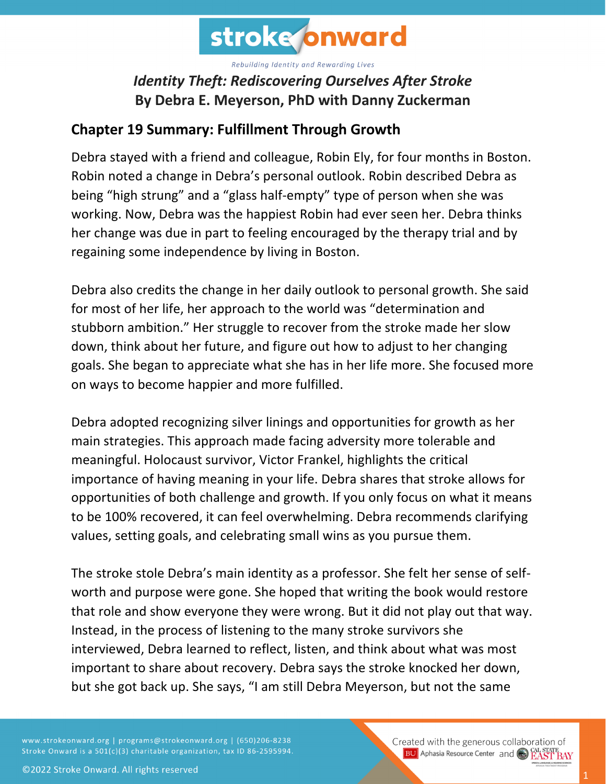

# *Identity Theft: Rediscovering Ourselves After Stroke* **By Debra E. Meyerson, PhD with Danny Zuckerman**

#### **Chapter 19 Summary: Fulfillment Through Growth**

Debra stayed with a friend and colleague, Robin Ely, for four months in Boston. Robin noted a change in Debra's personal outlook. Robin described Debra as being "high strung" and a "glass half-empty" type of person when she was working. Now, Debra was the happiest Robin had ever seen her. Debra thinks her change was due in part to feeling encouraged by the therapy trial and by regaining some independence by living in Boston.

Debra also credits the change in her daily outlook to personal growth. She said for most of her life, her approach to the world was "determination and stubborn ambition." Her struggle to recover from the stroke made her slow down, think about her future, and figure out how to adjust to her changing goals. She began to appreciate what she has in her life more. She focused more on ways to become happier and more fulfilled.

Debra adopted recognizing silver linings and opportunities for growth as her main strategies. This approach made facing adversity more tolerable and meaningful. Holocaust survivor, Victor Frankel, highlights the critical importance of having meaning in your life. Debra shares that stroke allows for opportunities of both challenge and growth. If you only focus on what it means to be 100% recovered, it can feel overwhelming. Debra recommends clarifying values, setting goals, and celebrating small wins as you pursue them.

The stroke stole Debra's main identity as a professor. She felt her sense of selfworth and purpose were gone. She hoped that writing the book would restore that role and show everyone they were wrong. But it did not play out that way. Instead, in the process of listening to the many stroke survivors she interviewed, Debra learned to reflect, listen, and think about what was most important to share about recovery. Debra says the stroke knocked her down, but she got back up. She says, "I am still Debra Meyerson, but not the same

www.strokeonward.org | programs@strokeonward.org | (650)206-8238 Stroke Onward is a 501(c)(3) charitable organization, tax ID 86-2595994. Created with the generous collaboration of **BU** Aphasia Resource Center and CO **EAST BAY**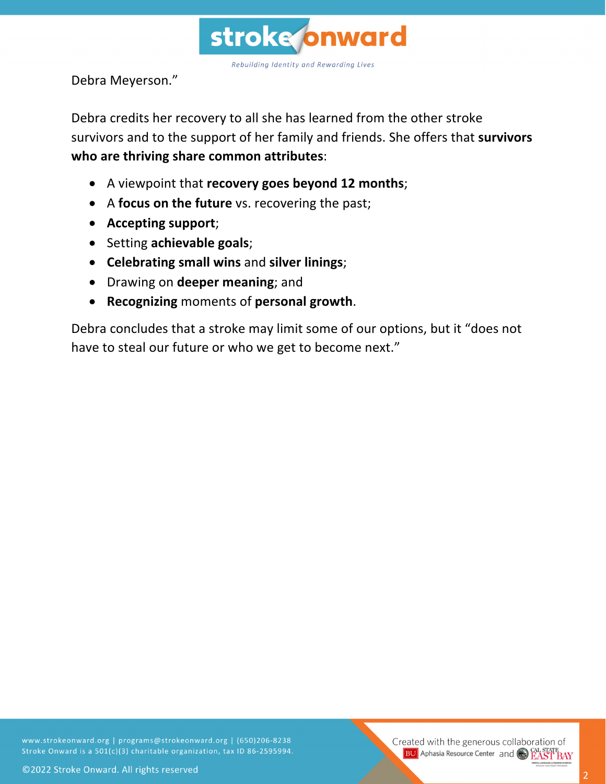

Debra Meyerson."

Debra credits her recovery to all she has learned from the other stroke survivors and to the support of her family and friends. She offers that **survivors who are thriving share common attributes**:

- A viewpoint that **recovery goes beyond 12 months**;
- A **focus on the future** vs. recovering the past;
- **Accepting support**;
- Setting **achievable goals**;
- **Celebrating small wins** and **silver linings**;
- Drawing on **deeper meaning**; and
- **Recognizing** moments of **personal growth**.

Debra concludes that a stroke may limit some of our options, but it "does not have to steal our future or who we get to become next."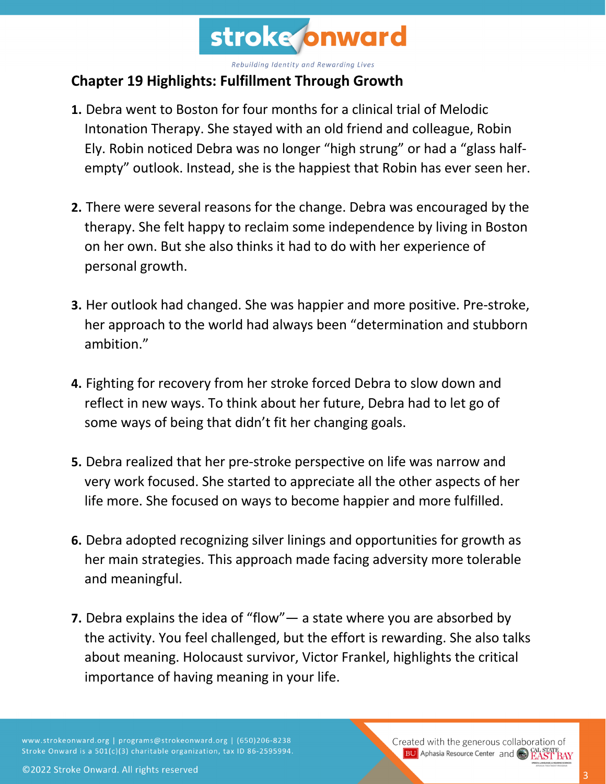

#### **Chapter 19 Highlights: Fulfillment Through Growth**

- **1.** Debra went to Boston for four months for a clinical trial of Melodic Intonation Therapy. She stayed with an old friend and colleague, Robin Ely. Robin noticed Debra was no longer "high strung" or had a "glass halfempty" outlook. Instead, she is the happiest that Robin has ever seen her.
- **2.** There were several reasons for the change. Debra was encouraged by the therapy. She felt happy to reclaim some independence by living in Boston on her own. But she also thinks it had to do with her experience of personal growth.
- **3.** Her outlook had changed. She was happier and more positive. Pre-stroke, her approach to the world had always been "determination and stubborn ambition."
- **4.** Fighting for recovery from her stroke forced Debra to slow down and reflect in new ways. To think about her future, Debra had to let go of some ways of being that didn't fit her changing goals.
- **5.** Debra realized that her pre-stroke perspective on life was narrow and very work focused. She started to appreciate all the other aspects of her life more. She focused on ways to become happier and more fulfilled.
- **6.** Debra adopted recognizing silver linings and opportunities for growth as her main strategies. This approach made facing adversity more tolerable and meaningful.
- **7.** Debra explains the idea of "flow"— a state where you are absorbed by the activity. You feel challenged, but the effort is rewarding. She also talks about meaning. Holocaust survivor, Victor Frankel, highlights the critical importance of having meaning in your life.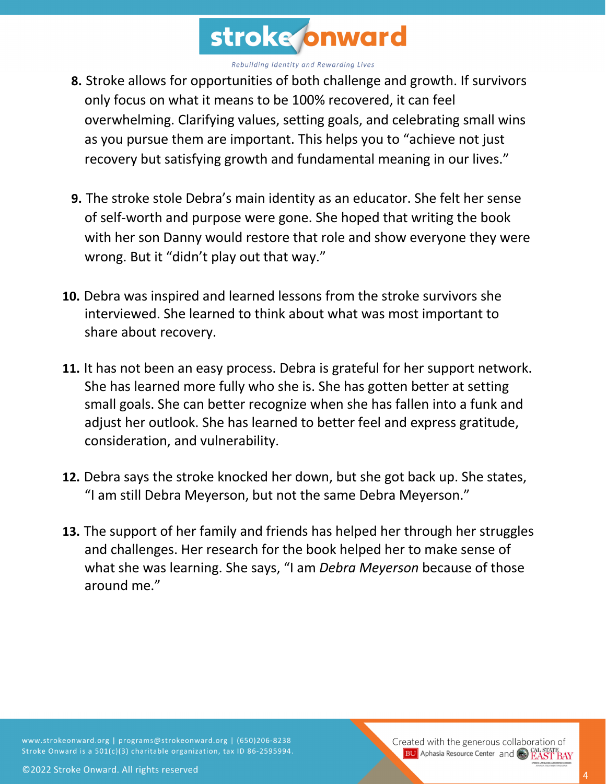

- **8.** Stroke allows for opportunities of both challenge and growth. If survivors only focus on what it means to be 100% recovered, it can feel overwhelming. Clarifying values, setting goals, and celebrating small wins as you pursue them are important. This helps you to "achieve not just recovery but satisfying growth and fundamental meaning in our lives."
- **9.** The stroke stole Debra's main identity as an educator. She felt her sense of self-worth and purpose were gone. She hoped that writing the book with her son Danny would restore that role and show everyone they were wrong. But it "didn't play out that way."
- **10.** Debra was inspired and learned lessons from the stroke survivors she interviewed. She learned to think about what was most important to share about recovery.
- **11.** It has not been an easy process. Debra is grateful for her support network. She has learned more fully who she is. She has gotten better at setting small goals. She can better recognize when she has fallen into a funk and adjust her outlook. She has learned to better feel and express gratitude, consideration, and vulnerability.
- **12.** Debra says the stroke knocked her down, but she got back up. She states, "I am still Debra Meyerson, but not the same Debra Meyerson."
- **13.** The support of her family and friends has helped her through her struggles and challenges. Her research for the book helped her to make sense of what she was learning. She says, "I am *Debra Meyerson* because of those around me."

©2022 Stroke Onward. All rights reserved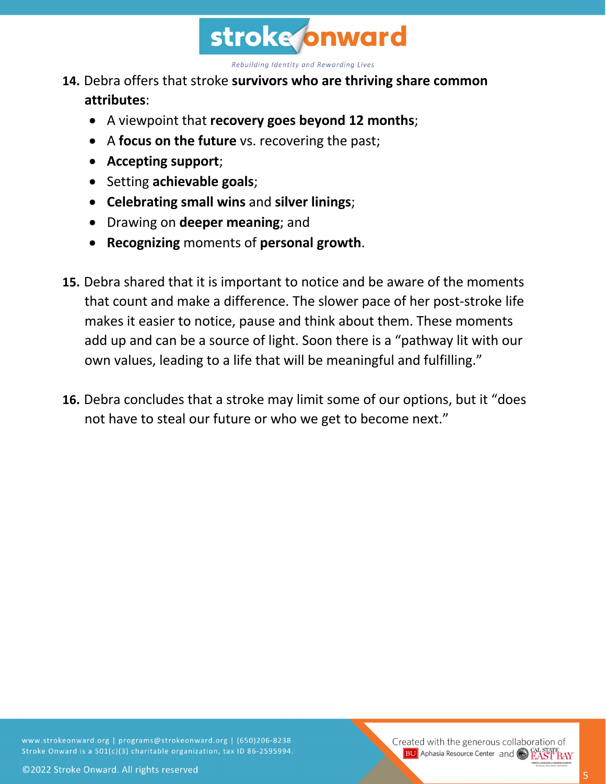

#### **14.** Debra offers that stroke **survivors who are thriving share common attributes**:

- A viewpoint that **recovery goes beyond 12 months**;
- A **focus on the future** vs. recovering the past;
- **Accepting support**;
- Setting **achievable goals**;
- **Celebrating small wins** and **silver linings**;
- Drawing on **deeper meaning**; and
- **Recognizing** moments of **personal growth**.
- **15.** Debra shared that it is important to notice and be aware of the moments that count and make a difference. The slower pace of her post-stroke life makes it easier to notice, pause and think about them. These moments add up and can be a source of light. Soon there is a "pathway lit with our own values, leading to a life that will be meaningful and fulfilling."
- **16.** Debra concludes that a stroke may limit some of our options, but it "does not have to steal our future or who we get to become next."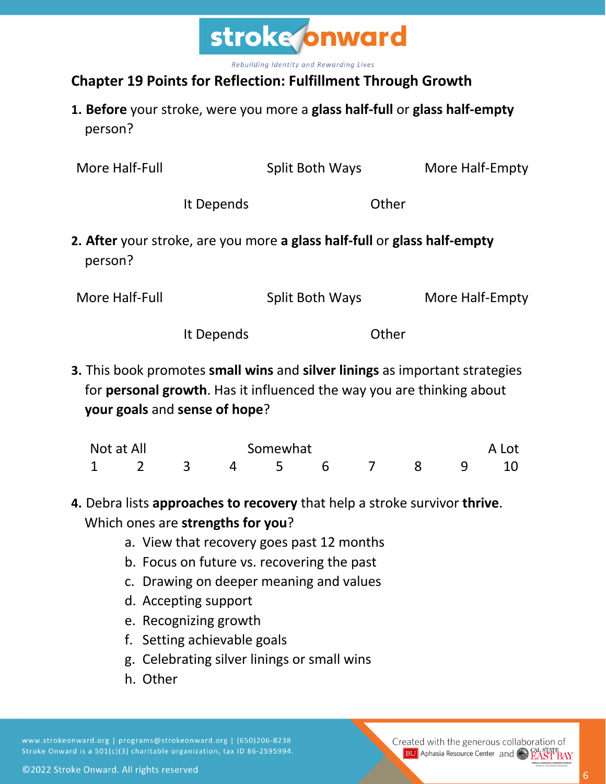

### **Chapter 19 Points for Reflection: Fulfillment Through Growth**

**1. Before** your stroke, were you more a **glass half-full** or **glass half-empty** person?

| More Half-Full                                                                                                                                                                                |            | Split Both Ways                                                          |       | More Half-Empty |
|-----------------------------------------------------------------------------------------------------------------------------------------------------------------------------------------------|------------|--------------------------------------------------------------------------|-------|-----------------|
|                                                                                                                                                                                               | It Depends |                                                                          | Other |                 |
| person?                                                                                                                                                                                       |            | 2. After your stroke, are you more a glass half-full or glass half-empty |       |                 |
| More Half-Full                                                                                                                                                                                |            | Split Both Ways                                                          |       | More Half-Empty |
|                                                                                                                                                                                               | It Depends |                                                                          | Other |                 |
| 3. This book promotes small wins and silver linings as important strategies<br>for <b>personal growth</b> . Has it influenced the way you are thinking about<br>your goals and sense of hope? |            |                                                                          |       |                 |
| Not at All                                                                                                                                                                                    |            | Somewhat                                                                 |       | A Lot           |

## **4.** Debra lists **approaches to recovery** that help a stroke survivor **thrive**. Which ones are **strengths for you**?

1 2 3 4 5 6 7 8 9 10

- a. View that recovery goes past 12 months
- b. Focus on future vs. recovering the past
- c. Drawing on deeper meaning and values
- d. Accepting support
- e. Recognizing growth
- f. Setting achievable goals
- g. Celebrating silver linings or small wins
- h. Other